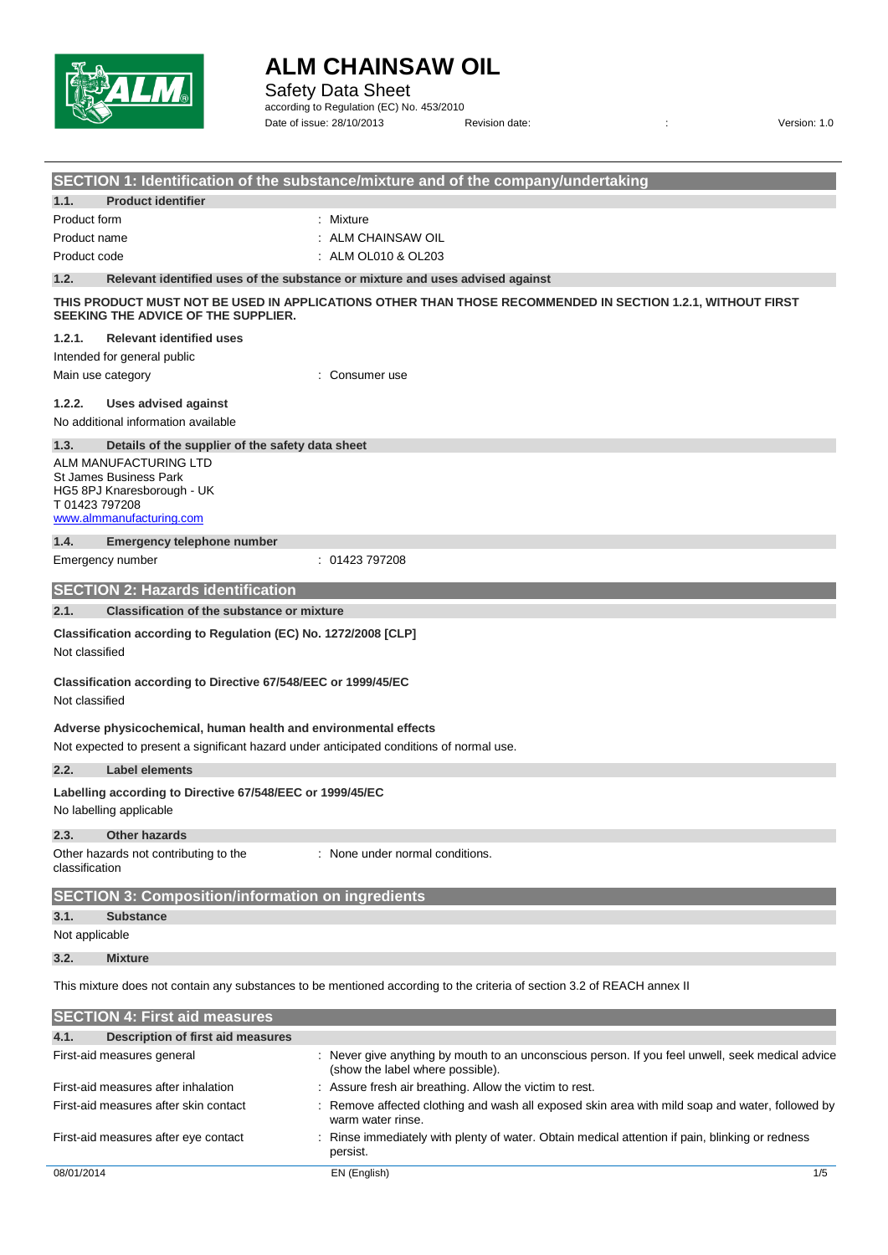

Safety Data Sheet

according to Regulation (EC) No. 453/2010 Date of issue: 28/10/2013 Revision date: <br>
Revision date:  $\frac{1}{2}$  Revision date:

|                   |                                                                                          | SECTION 1: Identification of the substance/mixture and of the company/undertaking                                                    |
|-------------------|------------------------------------------------------------------------------------------|--------------------------------------------------------------------------------------------------------------------------------------|
| 1.1.              | <b>Product identifier</b>                                                                |                                                                                                                                      |
| Product form      |                                                                                          | : Mixture                                                                                                                            |
| Product name      |                                                                                          | ALM CHAINSAW OIL                                                                                                                     |
| Product code      |                                                                                          | ALM OL010 & OL203                                                                                                                    |
| 1.2.              |                                                                                          | Relevant identified uses of the substance or mixture and uses advised against                                                        |
|                   | SEEKING THE ADVICE OF THE SUPPLIER.                                                      | THIS PRODUCT MUST NOT BE USED IN APPLICATIONS OTHER THAN THOSE RECOMMENDED IN SECTION 1.2.1, WITHOUT FIRST                           |
| 1.2.1.            | <b>Relevant identified uses</b>                                                          |                                                                                                                                      |
|                   | Intended for general public                                                              |                                                                                                                                      |
| Main use category |                                                                                          | Consumer use                                                                                                                         |
| 1.2.2.            | <b>Uses advised against</b>                                                              |                                                                                                                                      |
|                   | No additional information available                                                      |                                                                                                                                      |
| 1.3.              | Details of the supplier of the safety data sheet                                         |                                                                                                                                      |
|                   | ALM MANUFACTURING LTD                                                                    |                                                                                                                                      |
|                   | St James Business Park<br>HG5 8PJ Knaresborough - UK                                     |                                                                                                                                      |
| T01423797208      |                                                                                          |                                                                                                                                      |
|                   | www.almmanufacturing.com                                                                 |                                                                                                                                      |
| 1.4.              | <b>Emergency telephone number</b>                                                        |                                                                                                                                      |
|                   | Emergency number                                                                         | : 01423 797208                                                                                                                       |
|                   | <b>SECTION 2: Hazards identification</b>                                                 |                                                                                                                                      |
| 2.1.              | <b>Classification of the substance or mixture</b>                                        |                                                                                                                                      |
|                   | Classification according to Regulation (EC) No. 1272/2008 [CLP]                          |                                                                                                                                      |
| Not classified    |                                                                                          |                                                                                                                                      |
|                   | Classification according to Directive 67/548/EEC or 1999/45/EC                           |                                                                                                                                      |
| Not classified    |                                                                                          |                                                                                                                                      |
|                   |                                                                                          |                                                                                                                                      |
|                   | Adverse physicochemical, human health and environmental effects                          |                                                                                                                                      |
|                   | Not expected to present a significant hazard under anticipated conditions of normal use. |                                                                                                                                      |
| 2.2.              | <b>Label elements</b>                                                                    |                                                                                                                                      |
|                   | Labelling according to Directive 67/548/EEC or 1999/45/EC<br>No labelling applicable     |                                                                                                                                      |
| 2.3.              | <b>Other hazards</b>                                                                     |                                                                                                                                      |
| classification    | Other hazards not contributing to the                                                    | : None under normal conditions.                                                                                                      |
|                   | <b>SECTION 3: Composition/information on ingredients</b>                                 |                                                                                                                                      |
| 3.1.              | <b>Substance</b>                                                                         |                                                                                                                                      |
| Not applicable    |                                                                                          |                                                                                                                                      |
| 3.2.              | <b>Mixture</b>                                                                           |                                                                                                                                      |
|                   |                                                                                          | This mixture does not contain any substances to be mentioned according to the criteria of section 3.2 of REACH annex II              |
|                   | <b>SECTION 4: First aid measures</b>                                                     |                                                                                                                                      |
| 4.1.              | <b>Description of first aid measures</b>                                                 |                                                                                                                                      |
|                   | First-aid measures general                                                               | : Never give anything by mouth to an unconscious person. If you feel unwell, seek medical advice<br>(show the label where possible). |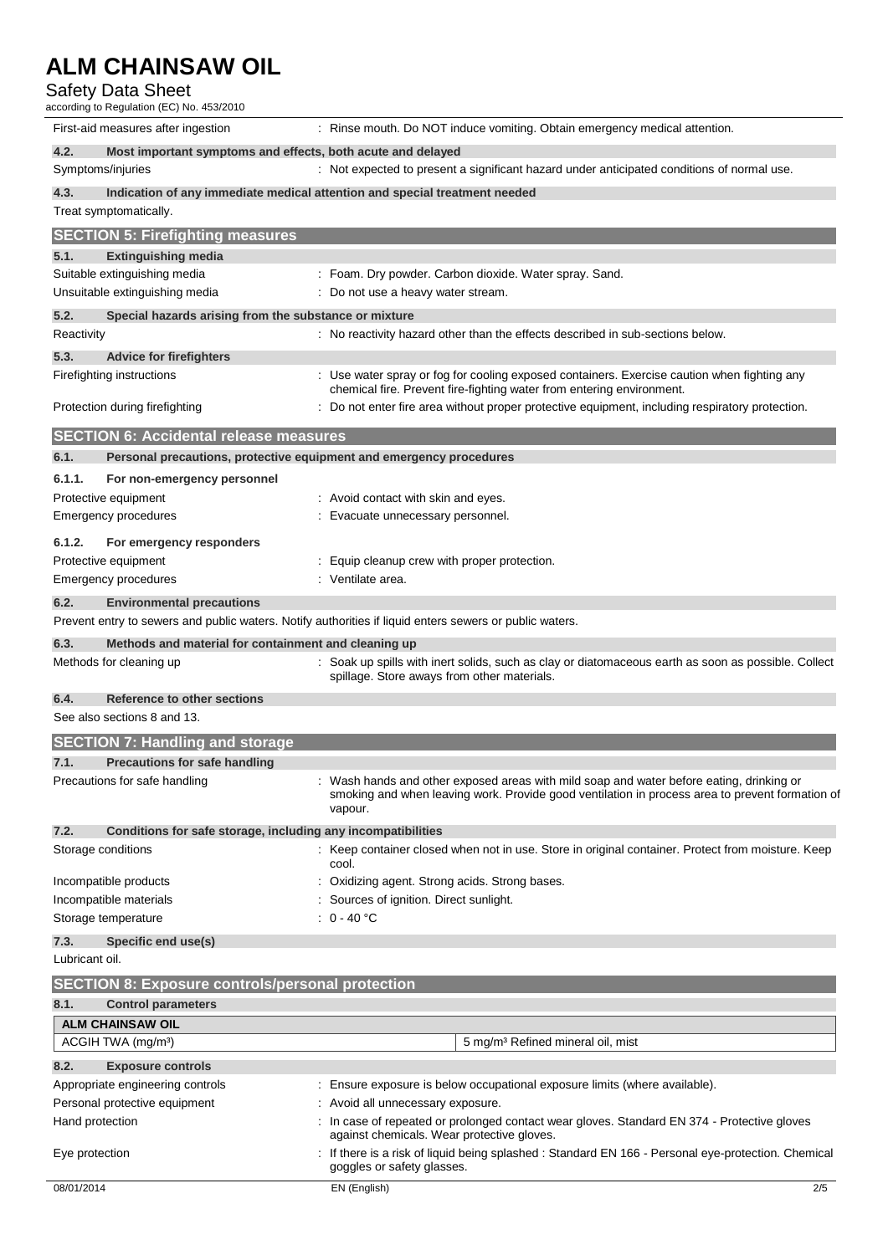#### Safety Data Sheet

according to Regulation (EC) No. 453/2010

| First-aid measures after ingestion                                   | : Rinse mouth. Do NOT induce vomiting. Obtain emergency medical attention.                                                                                                                             |
|----------------------------------------------------------------------|--------------------------------------------------------------------------------------------------------------------------------------------------------------------------------------------------------|
| 4.2.<br>Most important symptoms and effects, both acute and delayed  |                                                                                                                                                                                                        |
| Symptoms/injuries                                                    | : Not expected to present a significant hazard under anticipated conditions of normal use.                                                                                                             |
| 4.3.                                                                 | Indication of any immediate medical attention and special treatment needed                                                                                                                             |
| Treat symptomatically.                                               |                                                                                                                                                                                                        |
| <b>SECTION 5: Firefighting measures</b>                              |                                                                                                                                                                                                        |
| 5.1.<br><b>Extinguishing media</b>                                   |                                                                                                                                                                                                        |
| Suitable extinguishing media                                         | : Foam. Dry powder. Carbon dioxide. Water spray. Sand.                                                                                                                                                 |
| Unsuitable extinguishing media                                       | : Do not use a heavy water stream.                                                                                                                                                                     |
| 5.2.<br>Special hazards arising from the substance or mixture        |                                                                                                                                                                                                        |
| Reactivity                                                           | : No reactivity hazard other than the effects described in sub-sections below.                                                                                                                         |
| 5.3.<br><b>Advice for firefighters</b>                               |                                                                                                                                                                                                        |
| Firefighting instructions                                            | : Use water spray or fog for cooling exposed containers. Exercise caution when fighting any<br>chemical fire. Prevent fire-fighting water from entering environment.                                   |
| Protection during firefighting                                       | : Do not enter fire area without proper protective equipment, including respiratory protection.                                                                                                        |
|                                                                      |                                                                                                                                                                                                        |
| <b>SECTION 6: Accidental release measures</b>                        |                                                                                                                                                                                                        |
| 6.1.                                                                 | Personal precautions, protective equipment and emergency procedures                                                                                                                                    |
| 6.1.1.<br>For non-emergency personnel                                |                                                                                                                                                                                                        |
| Protective equipment<br>Emergency procedures                         | : Avoid contact with skin and eyes.<br>: Evacuate unnecessary personnel.                                                                                                                               |
|                                                                      |                                                                                                                                                                                                        |
| 6.1.2.<br>For emergency responders                                   |                                                                                                                                                                                                        |
| Protective equipment                                                 | : Equip cleanup crew with proper protection.                                                                                                                                                           |
| <b>Emergency procedures</b>                                          | : Ventilate area.                                                                                                                                                                                      |
| 6.2.<br><b>Environmental precautions</b>                             |                                                                                                                                                                                                        |
|                                                                      | Prevent entry to sewers and public waters. Notify authorities if liquid enters sewers or public waters.                                                                                                |
| 6.3.<br>Methods and material for containment and cleaning up         |                                                                                                                                                                                                        |
| Methods for cleaning up                                              | : Soak up spills with inert solids, such as clay or diatomaceous earth as soon as possible. Collect<br>spillage. Store aways from other materials.                                                     |
| 6.4.<br>Reference to other sections                                  |                                                                                                                                                                                                        |
| See also sections 8 and 13.                                          |                                                                                                                                                                                                        |
| <b>SECTION 7: Handling and storage</b>                               |                                                                                                                                                                                                        |
| <b>Precautions for safe handling</b><br>7.1.                         |                                                                                                                                                                                                        |
| Precautions for safe handling                                        | : Wash hands and other exposed areas with mild soap and water before eating, drinking or<br>smoking and when leaving work. Provide good ventilation in process area to prevent formation of<br>vapour. |
| 7.2.<br>Conditions for safe storage, including any incompatibilities |                                                                                                                                                                                                        |
| Storage conditions                                                   | : Keep container closed when not in use. Store in original container. Protect from moisture. Keep<br>cool.                                                                                             |
| Incompatible products                                                | Oxidizing agent. Strong acids. Strong bases.                                                                                                                                                           |
| Incompatible materials                                               | : Sources of ignition. Direct sunlight.                                                                                                                                                                |
| Storage temperature                                                  | : $0 - 40$ °C                                                                                                                                                                                          |
| 7.3.<br>Specific end use(s)                                          |                                                                                                                                                                                                        |
| Lubricant oil.                                                       |                                                                                                                                                                                                        |
| <b>SECTION 8: Exposure controls/personal protection</b>              |                                                                                                                                                                                                        |
| 8.1.<br><b>Control parameters</b>                                    |                                                                                                                                                                                                        |
| <b>ALM CHAINSAW OIL</b>                                              |                                                                                                                                                                                                        |
| ACGIH TWA (mg/m <sup>3</sup> )                                       | 5 mg/m <sup>3</sup> Refined mineral oil, mist                                                                                                                                                          |
| 8.2.<br><b>Exposure controls</b>                                     |                                                                                                                                                                                                        |
| Appropriate engineering controls                                     | : Ensure exposure is below occupational exposure limits (where available).                                                                                                                             |
| Personal protective equipment                                        | : Avoid all unnecessary exposure.                                                                                                                                                                      |
| Hand protection                                                      | : In case of repeated or prolonged contact wear gloves. Standard EN 374 - Protective gloves<br>against chemicals. Wear protective gloves.                                                              |
| Eye protection                                                       | If there is a risk of liquid being splashed : Standard EN 166 - Personal eye-protection. Chemical<br>goggles or safety glasses.                                                                        |
| 08/01/2014                                                           | EN (English)<br>2/5                                                                                                                                                                                    |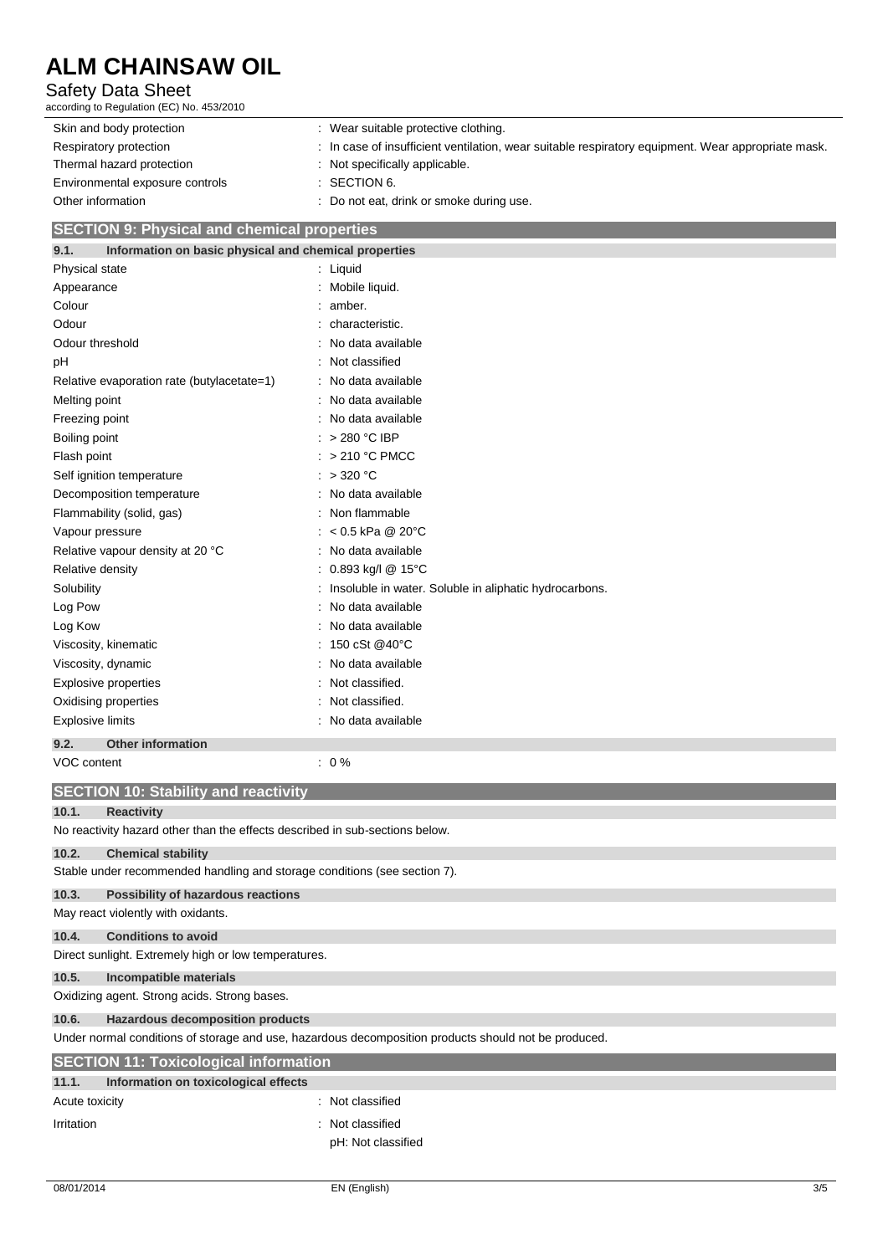### Safety Data Sheet

according to Regulation (EC) No. 453/2010

| Skin and body protection        | : Wear suitable protective clothing.                                                               |
|---------------------------------|----------------------------------------------------------------------------------------------------|
| Respiratory protection          | : In case of insufficient ventilation, wear suitable respiratory equipment. Wear appropriate mask. |
| Thermal hazard protection       | : Not specifically applicable.                                                                     |
| Environmental exposure controls | $\therefore$ SECTION 6.                                                                            |
| Other information               | : Do not eat, drink or smoke during use.                                                           |

#### **SECTION 9: Physical and chemical properties**

| Information on basic physical and chemical properties<br>9.1. |                                                        |
|---------------------------------------------------------------|--------------------------------------------------------|
| Physical state                                                | Liquid                                                 |
| Appearance                                                    | Mobile liquid.                                         |
| Colour                                                        | : amber.                                               |
| Odour                                                         | characteristic.                                        |
| Odour threshold                                               | No data available                                      |
| рH                                                            | Not classified                                         |
| Relative evaporation rate (butylacetate=1)                    | No data available                                      |
| Melting point                                                 | No data available                                      |
| Freezing point                                                | No data available                                      |
| Boiling point                                                 | > 280 °C IBP                                           |
| Flash point                                                   | > 210 °C PMCC                                          |
| Self ignition temperature                                     | >320 °C                                                |
| Decomposition temperature                                     | No data available                                      |
| Flammability (solid, gas)                                     | Non flammable                                          |
| Vapour pressure                                               | $< 0.5$ kPa @ 20°C                                     |
| Relative vapour density at 20 °C                              | No data available                                      |
| Relative density                                              | 0.893 kg/l @ 15°C                                      |
| Solubility                                                    | Insoluble in water. Soluble in aliphatic hydrocarbons. |
| Log Pow                                                       | No data available                                      |
| Log Kow                                                       | No data available                                      |
| Viscosity, kinematic                                          | 150 cSt @40°C                                          |
| Viscosity, dynamic                                            | No data available                                      |
| <b>Explosive properties</b>                                   | Not classified.                                        |
| Oxidising properties                                          | Not classified.                                        |
| <b>Explosive limits</b>                                       | No data available                                      |
| <b>Other information</b><br>9.2.                              |                                                        |
| VOC content                                                   | $: 0\%$                                                |

| <b>VOC content</b>                                   | $\cdot$ 0 %                                                                                          |  |
|------------------------------------------------------|------------------------------------------------------------------------------------------------------|--|
|                                                      | <b>SECTION 10: Stability and reactivity</b>                                                          |  |
| 10.1.                                                | <b>Reactivity</b>                                                                                    |  |
|                                                      | No reactivity hazard other than the effects described in sub-sections below.                         |  |
| 10.2.                                                | <b>Chemical stability</b>                                                                            |  |
|                                                      | Stable under recommended handling and storage conditions (see section 7).                            |  |
| 10.3.                                                | Possibility of hazardous reactions                                                                   |  |
|                                                      | May react violently with oxidants.                                                                   |  |
| 10.4.                                                | <b>Conditions to avoid</b>                                                                           |  |
| Direct sunlight. Extremely high or low temperatures. |                                                                                                      |  |
| 10.5.                                                | Incompatible materials                                                                               |  |
|                                                      | Oxidizing agent. Strong acids. Strong bases.                                                         |  |
| 10.6.                                                | <b>Hazardous decomposition products</b>                                                              |  |
|                                                      | Under normal conditions of storage and use, hazardous decomposition products should not be produced. |  |
|                                                      | <b>SECTION 11: Toxicological information</b>                                                         |  |
| 11.1.                                                | Information on toxicological effects                                                                 |  |
| Acute toxicity                                       | : Not classified                                                                                     |  |
| Irritation                                           | : Not classified                                                                                     |  |
|                                                      | pH: Not classified                                                                                   |  |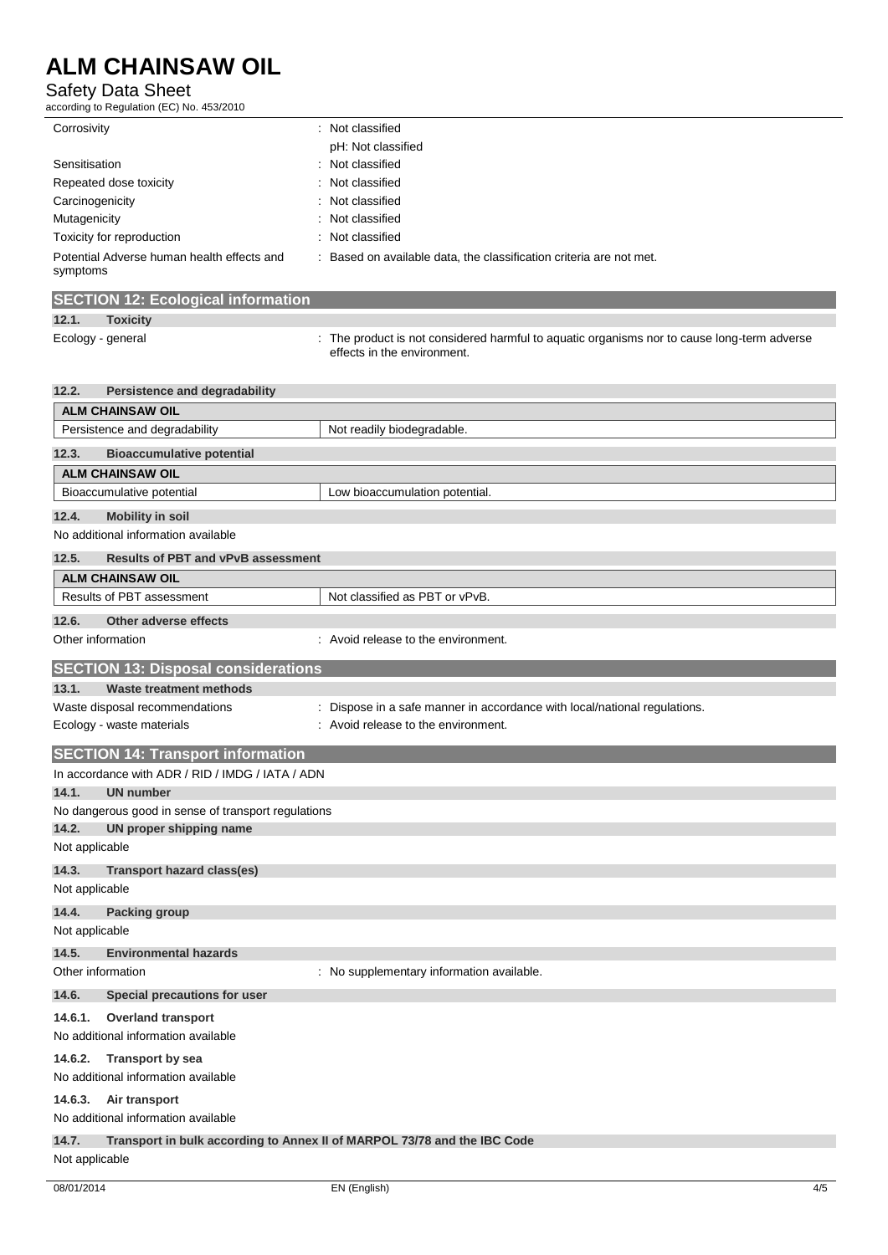#### Safety Data Sheet

according to Regulation (EC) No. 453/2010

| Corrosivity                                            | : Not classified                                                  |
|--------------------------------------------------------|-------------------------------------------------------------------|
|                                                        | pH: Not classified                                                |
| Sensitisation                                          | : Not classified                                                  |
| Repeated dose toxicity                                 | : Not classified                                                  |
| Carcinogenicity                                        | : Not classified                                                  |
| Mutagenicity                                           | : Not classified                                                  |
| Toxicity for reproduction                              | : Not classified                                                  |
| Potential Adverse human health effects and<br>symptoms | Based on available data, the classification criteria are not met. |

### **SECTION 12: Ecological information**

#### **12.1. Toxicity**

Ecology - general intertable to the product is not considered harmful to aquatic organisms nor to cause long-term adverse effects in the environment.

| 12.2.                                               | <b>Persistence and degradability</b>                                     |  |  |  |
|-----------------------------------------------------|--------------------------------------------------------------------------|--|--|--|
| <b>ALM CHAINSAW OIL</b>                             |                                                                          |  |  |  |
| Persistence and degradability                       | Not readily biodegradable.                                               |  |  |  |
| <b>Bioaccumulative potential</b><br>12.3.           |                                                                          |  |  |  |
| <b>ALM CHAINSAW OIL</b>                             |                                                                          |  |  |  |
| Bioaccumulative potential                           | Low bioaccumulation potential.                                           |  |  |  |
| 12.4.<br><b>Mobility in soil</b>                    |                                                                          |  |  |  |
| No additional information available                 |                                                                          |  |  |  |
| 12.5.<br><b>Results of PBT and vPvB assessment</b>  |                                                                          |  |  |  |
| <b>ALM CHAINSAW OIL</b>                             |                                                                          |  |  |  |
| Results of PBT assessment                           | Not classified as PBT or vPvB.                                           |  |  |  |
| Other adverse effects<br>12.6.                      |                                                                          |  |  |  |
| Other information                                   | : Avoid release to the environment.                                      |  |  |  |
| <b>SECTION 13: Disposal considerations</b>          |                                                                          |  |  |  |
| 13.1.<br><b>Waste treatment methods</b>             |                                                                          |  |  |  |
| Waste disposal recommendations                      | Dispose in a safe manner in accordance with local/national regulations.  |  |  |  |
| Ecology - waste materials                           | Avoid release to the environment.                                        |  |  |  |
| <b>SECTION 14: Transport information</b>            |                                                                          |  |  |  |
| In accordance with ADR / RID / IMDG / IATA / ADN    |                                                                          |  |  |  |
| 14.1.<br><b>UN number</b>                           |                                                                          |  |  |  |
| No dangerous good in sense of transport regulations |                                                                          |  |  |  |
| UN proper shipping name<br>14.2.                    |                                                                          |  |  |  |
| Not applicable                                      |                                                                          |  |  |  |
| 14.3.<br><b>Transport hazard class(es)</b>          |                                                                          |  |  |  |
| Not applicable                                      |                                                                          |  |  |  |
| 14.4.<br><b>Packing group</b>                       |                                                                          |  |  |  |
| Not applicable                                      |                                                                          |  |  |  |
| 14.5.<br><b>Environmental hazards</b>               |                                                                          |  |  |  |
| Other information                                   | : No supplementary information available.                                |  |  |  |
| 14.6.<br>Special precautions for user               |                                                                          |  |  |  |
| 14.6.1.<br><b>Overland transport</b>                |                                                                          |  |  |  |
| No additional information available                 |                                                                          |  |  |  |
| <b>Transport by sea</b><br>14.6.2.                  |                                                                          |  |  |  |
| No additional information available                 |                                                                          |  |  |  |
| 14.6.3.<br>Air transport                            |                                                                          |  |  |  |
| No additional information available                 |                                                                          |  |  |  |
| 14.7.                                               | Transport in bulk according to Annex II of MARPOL 73/78 and the IBC Code |  |  |  |
| Not applicable                                      |                                                                          |  |  |  |